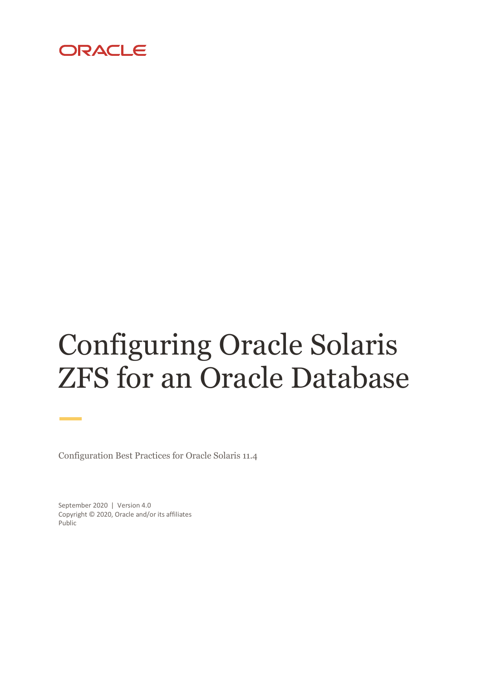

# Configuring Oracle Solaris ZFS for an Oracle Database

Configuration Best Practices for Oracle Solaris 11.4

September 2020 | Version 4.0 Copyright © 2020, Oracle and/or its affiliates Public

m. ÷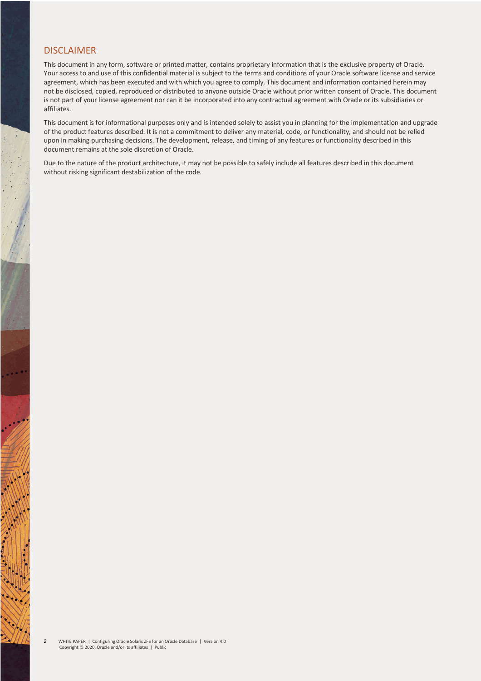#### DISCI AIMER

This document in any form, software or printed matter, contains proprietary information that is the exclusive property of Oracle. Your access to and use of this confidential material is subject to the terms and conditions of your Oracle software license and service agreement, which has been executed and with which you agree to comply. This document and information contained herein may not be disclosed, copied, reproduced or distributed to anyone outside Oracle without prior written consent of Oracle. This document is not part of your license agreement nor can it be incorporated into any contractual agreement with Oracle or its subsidiaries or affiliates.

This document is for informational purposes only and is intended solely to assist you in planning for the implementation and upgrade of the product features described. It is not a commitment to deliver any material, code, or functionality, and should not be relied upon in making purchasing decisions. The development, release, and timing of any features or functionality described in this document remains at the sole discretion of Oracle.

Due to the nature of the product architecture, it may not be possible to safely include all features described in this document without risking significant destabilization of the code.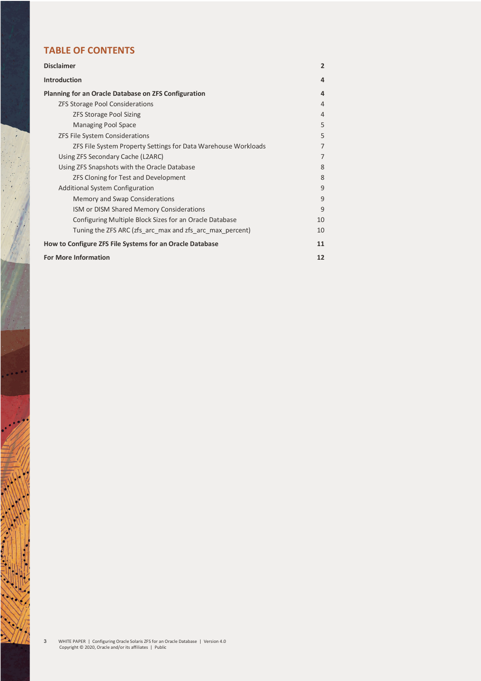# **TABLE OF CONTENTS**

| <b>Disclaimer</b>                                              | $\overline{2}$ |
|----------------------------------------------------------------|----------------|
| <b>Introduction</b>                                            | 4              |
| <b>Planning for an Oracle Database on ZFS Configuration</b>    | 4              |
| <b>ZFS Storage Pool Considerations</b>                         | 4              |
| <b>ZFS Storage Pool Sizing</b>                                 | 4              |
| <b>Managing Pool Space</b>                                     | 5              |
| ZFS File System Considerations                                 | 5              |
| ZFS File System Property Settings for Data Warehouse Workloads | $\overline{7}$ |
| Using ZFS Secondary Cache (L2ARC)                              | 7              |
| Using ZFS Snapshots with the Oracle Database                   | 8              |
| ZFS Cloning for Test and Development                           | 8              |
| <b>Additional System Configuration</b>                         | 9              |
| Memory and Swap Considerations                                 | 9              |
| ISM or DISM Shared Memory Considerations                       | 9              |
| Configuring Multiple Block Sizes for an Oracle Database        | 10             |
| Tuning the ZFS ARC (zfs arc max and zfs arc max percent)       | 10             |
| How to Configure ZFS File Systems for an Oracle Database       | 11             |
| <b>For More Information</b>                                    | 12             |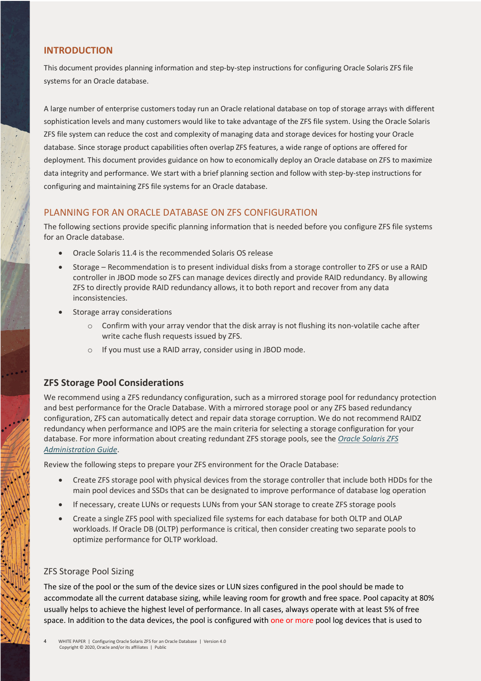# **INTRODUCTION**

This document provides planning information and step-by-step instructions for configuring Oracle Solaris ZFS file systems for an Oracle database.

A large number of enterprise customers today run an Oracle relational database on top of storage arrays with different sophistication levels and many customers would like to take advantage of the ZFS file system. Using the Oracle Solaris ZFS file system can reduce the cost and complexity of managing data and storage devices for hosting your Oracle database. Since storage product capabilities often overlap ZFS features, a wide range of options are offered for deployment. This document provides guidance on how to economically deploy an Oracle database on ZFS to maximize data integrity and performance. We start with a brief planning section and follow with step-by-step instructions for configuring and maintaining ZFS file systems for an Oracle database.

# PLANNING FOR AN ORACLE DATABASE ON ZFS CONFIGURATION

The following sections provide specific planning information that is needed before you configure ZFS file systems for an Oracle database.

- Oracle Solaris 11.4 is the recommended Solaris OS release
- Storage Recommendation is to present individual disks from a storage controller to ZFS or use a RAID controller in JBOD mode so ZFS can manage devices directly and provide RAID redundancy. By allowing ZFS to directly provide RAID redundancy allows, it to both report and recover from any data inconsistencies.
- Storage array considerations
	- $\circ$  Confirm with your array vendor that the disk array is not flushing its non-volatile cache after write cache flush requests issued by ZFS.
	- o If you must use a RAID array, consider using in JBOD mode.

# **ZFS Storage Pool Considerations**

We recommend using a ZFS redundancy configuration, such as a mirrored storage pool for redundancy protection and best performance for the Oracle Database. With a mirrored storage pool or any ZFS based redundancy configuration, ZFS can automatically detect and repair data storage corruption. We do not recommend RAIDZ redundancy when performance and IOPS are the main criteria for selecting a storage configuration for your database. For more information about creating redundant ZFS storage pools, see the *Oracle Solaris ZFS Administration Guide*.

Review the following steps to prepare your ZFS environment for the Oracle Database:

- Create ZFS storage pool with physical devices from the storage controller that include both HDDs for the main pool devices and SSDs that can be designated to improve performance of database log operation
- If necessary, create LUNs or requests LUNs from your SAN storage to create ZFS storage pools
- Create a single ZFS pool with specialized file systems for each database for both OLTP and OLAP workloads. If Oracle DB (OLTP) performance is critical, then consider creating two separate pools to optimize performance for OLTP workload.

# ZFS Storage Pool Sizing

The size of the pool or the sum of the device sizes or LUN sizes configured in the pool should be made to accommodate all the current database sizing, while leaving room for growth and free space. Pool capacity at 80% usually helps to achieve the highest level of performance. In all cases, always operate with at least 5% of free space. In addition to the data devices, the pool is configured with one or more pool log devices that is used to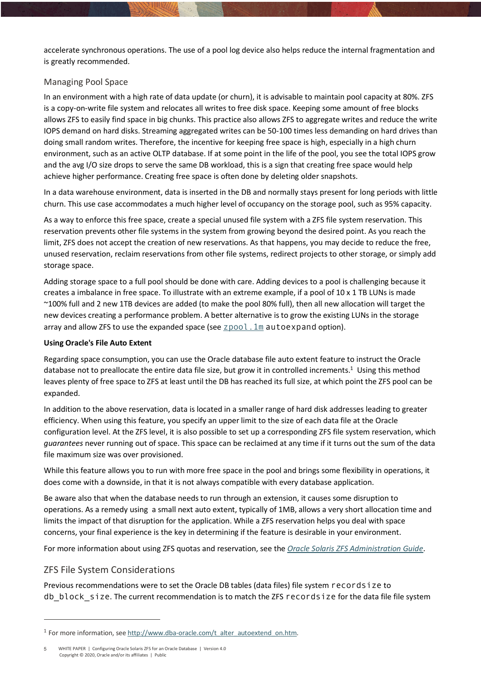accelerate synchronous operations. The use of a pool log device also helps reduce the internal fragmentation and is greatly recommended.

# Managing Pool Space

In an environment with a high rate of data update (or churn), it is advisable to maintain pool capacity at 80%. ZFS is a copy-on-write file system and relocates all writes to free disk space. Keeping some amount of free blocks allows ZFS to easily find space in big chunks. This practice also allows ZFS to aggregate writes and reduce the write IOPS demand on hard disks. Streaming aggregated writes can be 50-100 times less demanding on hard drives than doing small random writes. Therefore, the incentive for keeping free space is high, especially in a high churn environment, such as an active OLTP database. If at some point in the life of the pool, you see the total IOPS grow and the avg I/O size drops to serve the same DB workload, this is a sign that creating free space would help achieve higher performance. Creating free space is often done by deleting older snapshots.

In a data warehouse environment, data is inserted in the DB and normally stays present for long periods with little churn. This use case accommodates a much higher level of occupancy on the storage pool, such as 95% capacity.

As a way to enforce this free space, create a special unused file system with a ZFS file system reservation. This reservation prevents other file systems in the system from growing beyond the desired point. As you reach the limit, ZFS does not accept the creation of new reservations. As that happens, you may decide to reduce the free, unused reservation, reclaim reservations from other file systems, redirect projects to other storage, or simply add storage space.

Adding storage space to a full pool should be done with care. Adding devices to a pool is challenging because it creates a imbalance in free space. To illustrate with an extreme example, if a pool of 10 x 1 TB LUNs is made ~100% full and 2 new 1TB devices are added (to make the pool 80% full), then all new allocation will target the new devices creating a performance problem. A better alternative is to grow the existing LUNs in the storage array and allow ZFS to use the expanded space (see  $\text{\texttt{ZPOOL}}$ . 1m autoexpand option).

#### **Using Oracle's File Auto Extent**

Regarding space consumption, you can use the Oracle database file auto extent feature to instruct the Oracle database not to preallocate the entire data file size, but grow it in controlled increments.<sup>1</sup> Using this method leaves plenty of free space to ZFS at least until the DB has reached its full size, at which point the ZFS pool can be expanded.

In addition to the above reservation, data is located in a smaller range of hard disk addresses leading to greater efficiency. When using this feature, you specify an upper limit to the size of each data file at the Oracle configuration level. At the ZFS level, it is also possible to set up a corresponding ZFS file system reservation, which *guarantees* never running out of space. This space can be reclaimed at any time if it turns out the sum of the data file maximum size was over provisioned.

While this feature allows you to run with more free space in the pool and brings some flexibility in operations, it does come with a downside, in that it is not always compatible with every database application.

Be aware also that when the database needs to run through an extension, it causes some disruption to operations. As a remedy using a small next auto extent, typically of 1MB, allows a very short allocation time and limits the impact of that disruption for the application. While a ZFS reservation helps you deal with space concerns, your final experience is the key in determining if the feature is desirable in your environment.

For more information about using ZFS quotas and reservation, see the *Oracle Solaris ZFS Administration Guide*.

# ZFS File System Considerations

 $\overline{a}$ 

Previous recommendations were to set the Oracle DB tables (data files) file system recordsize to db block size. The current recommendation is to match the ZFS recordsize for the data file file system

 $1$  For more information, see http://www.dba-oracle.com/t\_alter\_autoextend\_on.htm.

WHITE PAPER | Configuring Oracle Solaris ZFS for an Oracle Database | Version 4.0 Copyright © 2020, Oracle and/or its affiliates | Public 5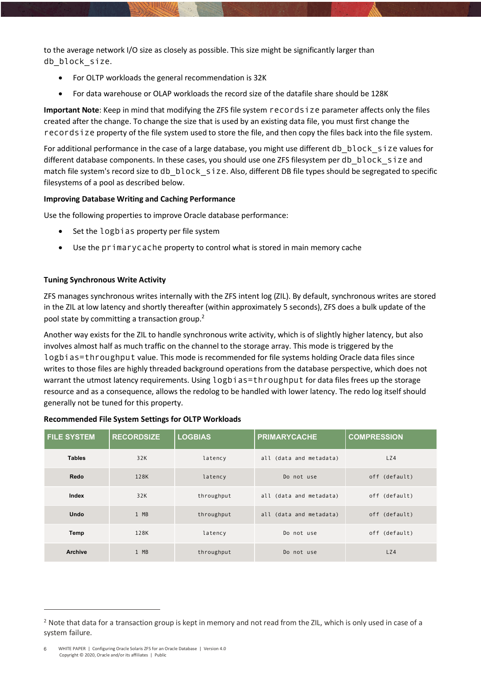to the average network I/O size as closely as possible. This size might be significantly larger than db block size.

- For OLTP workloads the general recommendation is 32K
- For data warehouse or OLAP workloads the record size of the datafile share should be 128K

**Important Note**: Keep in mind that modifying the ZFS file system recordsize parameter affects only the files created after the change. To change the size that is used by an existing data file, you must first change the recordsize property of the file system used to store the file, and then copy the files back into the file system.

For additional performance in the case of a large database, you might use different db\_block\_size values for different database components. In these cases, you should use one ZFS filesystem per db block size and match file system's record size to db block size. Also, different DB file types should be segregated to specific filesystems of a pool as described below.

#### **Improving Database Writing and Caching Performance**

Use the following properties to improve Oracle database performance:

- Set the logbias property per file system
- Use the primarycache property to control what is stored in main memory cache

#### **Tuning Synchronous Write Activity**

ZFS manages synchronous writes internally with the ZFS intent log (ZIL). By default, synchronous writes are stored in the ZIL at low latency and shortly thereafter (within approximately 5 seconds), ZFS does a bulk update of the pool state by committing a transaction group.2

Another way exists for the ZIL to handle synchronous write activity, which is of slightly higher latency, but also involves almost half as much traffic on the channel to the storage array. This mode is triggered by the logbias=throughput value. This mode is recommended for file systems holding Oracle data files since writes to those files are highly threaded background operations from the database perspective, which does not warrant the utmost latency requirements. Using logbias=throughput for data files frees up the storage resource and as a consequence, allows the redolog to be handled with lower latency. The redo log itself should generally not be tuned for this property.

| <b>FILE SYSTEM</b> | <b>RECORDSIZE</b> | <b>LOGBIAS</b> | <b>PRIMARYCACHE</b>     | <b>COMPRESSION</b> |
|--------------------|-------------------|----------------|-------------------------|--------------------|
| <b>Tables</b>      | 32K               | latency        | all (data and metadata) | LZ4                |
| Redo               | 128K              | latency        | Do not use              | off (default)      |
| Index              | 32K               | throughput     | all (data and metadata) | off (default)      |
| <b>Undo</b>        | 1 MB              | throughput     | all (data and metadata) | off (default)      |
| Temp               | 128K              | latency        | Do not use              | off (default)      |
| <b>Archive</b>     | 1 MB              | throughput     | Do not use              | LZ4                |

#### **Recommended File System Settings for OLTP Workloads**

 $\overline{a}$ 

 $2$  Note that data for a transaction group is kept in memory and not read from the ZIL, which is only used in case of a system failure.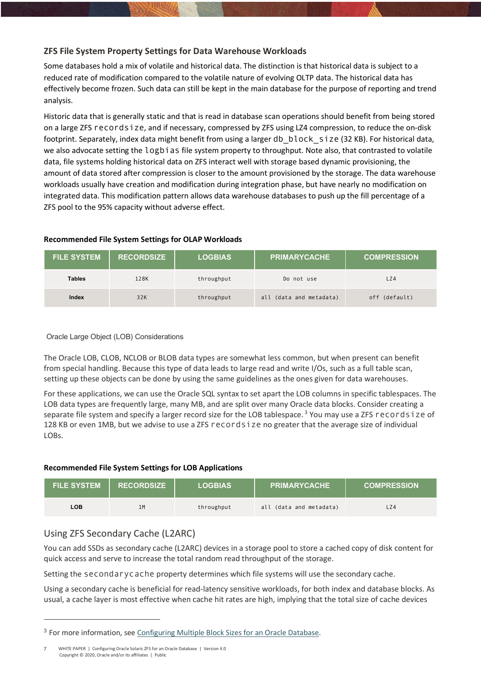# **ZFS File System Property Settings for Data Warehouse Workloads**

Some databases hold a mix of volatile and historical data. The distinction is that historical data is subject to a reduced rate of modification compared to the volatile nature of evolving OLTP data. The historical data has effectively become frozen. Such data can still be kept in the main database for the purpose of reporting and trend analysis.

Historic data that is generally static and that is read in database scan operations should benefit from being stored on a large ZFS recordsize, and if necessary, compressed by ZFS using LZ4 compression, to reduce the on-disk footprint. Separately, index data might benefit from using a larger db\_block\_size (32 KB). For historical data, we also advocate setting the logbias file system property to throughput. Note also, that contrasted to volatile data, file systems holding historical data on ZFS interact well with storage based dynamic provisioning, the amount of data stored after compression is closer to the amount provisioned by the storage. The data warehouse workloads usually have creation and modification during integration phase, but have nearly no modification on integrated data. This modification pattern allows data warehouse databases to push up the fill percentage of a ZFS pool to the 95% capacity without adverse effect.

#### **Recommended File System Settings for OLAP Workloads**

| <b>FILE SYSTEM</b> | <b>RECORDSIZE</b> | <b>LOGBIAS</b> | <b>PRIMARYCACHE</b>     | <b>COMPRESSION</b> |
|--------------------|-------------------|----------------|-------------------------|--------------------|
| <b>Tables</b>      | 128K              | throughput     | Do not use              | LZ4                |
| Index              | 32K               | throughput     | all (data and metadata) | (default)<br>of f  |

#### Oracle Large Object (LOB) Considerations

The Oracle LOB, CLOB, NCLOB or BLOB data types are somewhat less common, but when present can benefit from special handling. Because this type of data leads to large read and write I/Os, such as a full table scan, setting up these objects can be done by using the same guidelines as the ones given for data warehouses.

For these applications, we can use the Oracle SQL syntax to set apart the LOB columns in specific tablespaces. The LOB data types are frequently large, many MB, and are split over many Oracle data blocks. Consider creating a separate file system and specify a larger record size for the LOB tablespace.<sup>3</sup> You may use a ZFS records i ze of 128 KB or even 1MB, but we advise to use a ZFS recordsize no greater that the average size of individual LOBs.

#### **Recommended File System Settings for LOB Applications**

| <b>FILE SYSTEM</b> | <b>RECORDSIZE</b> | <b>LOGBIAS</b> | <b>PRIMARYCACHE</b>     | <b>COMPRESSION</b> |
|--------------------|-------------------|----------------|-------------------------|--------------------|
| LOB.               | 1M                | throughput     | all (data and metadata) | LZ4                |

# Using ZFS Secondary Cache (L2ARC)

 $\overline{a}$ 

You can add SSDs as secondary cache (L2ARC) devices in a storage pool to store a cached copy of disk content for quick access and serve to increase the total random read throughput of the storage.

Setting the secondarycache property determines which file systems will use the secondary cache.

Using a secondary cache is beneficial for read-latency sensitive workloads, for both index and database blocks. As usual, a cache layer is most effective when cache hit rates are high, implying that the total size of cache devices

<sup>&</sup>lt;sup>3</sup> For more information, see Configuring Multiple Block Sizes for an Oracle Database.

WHITE PAPER | Configuring Oracle Solaris ZFS for an Oracle Database | Version 4.0 Copyright © 2020, Oracle and/or its affiliates | Public 7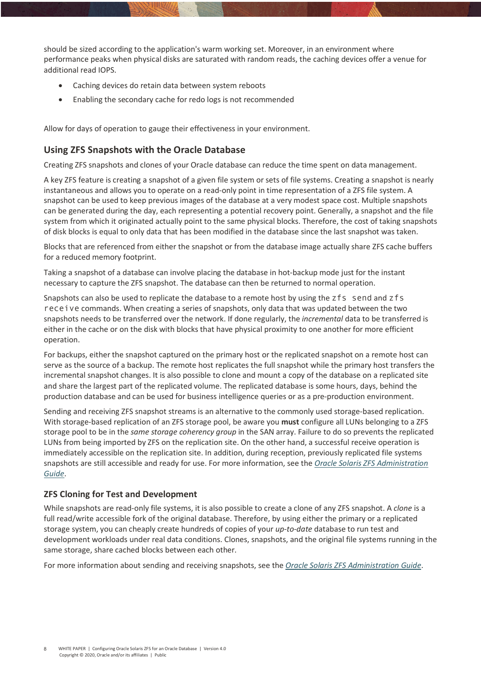should be sized according to the application's warm working set. Moreover, in an environment where performance peaks when physical disks are saturated with random reads, the caching devices offer a venue for additional read IOPS.

- Caching devices do retain data between system reboots
- Enabling the secondary cache for redo logs is not recommended

Allow for days of operation to gauge their effectiveness in your environment.

# **Using ZFS Snapshots with the Oracle Database**

Creating ZFS snapshots and clones of your Oracle database can reduce the time spent on data management.

A key ZFS feature is creating a snapshot of a given file system or sets of file systems. Creating a snapshot is nearly instantaneous and allows you to operate on a read-only point in time representation of a ZFS file system. A snapshot can be used to keep previous images of the database at a very modest space cost. Multiple snapshots can be generated during the day, each representing a potential recovery point. Generally, a snapshot and the file system from which it originated actually point to the same physical blocks. Therefore, the cost of taking snapshots of disk blocks is equal to only data that has been modified in the database since the last snapshot was taken.

Blocks that are referenced from either the snapshot or from the database image actually share ZFS cache buffers for a reduced memory footprint.

Taking a snapshot of a database can involve placing the database in hot-backup mode just for the instant necessary to capture the ZFS snapshot. The database can then be returned to normal operation.

Snapshots can also be used to replicate the database to a remote host by using the zfs send and zfs receive commands. When creating a series of snapshots, only data that was updated between the two snapshots needs to be transferred over the network. If done regularly, the *incremental* data to be transferred is either in the cache or on the disk with blocks that have physical proximity to one another for more efficient operation.

For backups, either the snapshot captured on the primary host or the replicated snapshot on a remote host can serve as the source of a backup. The remote host replicates the full snapshot while the primary host transfers the incremental snapshot changes. It is also possible to clone and mount a copy of the database on a replicated site and share the largest part of the replicated volume. The replicated database is some hours, days, behind the production database and can be used for business intelligence queries or as a pre-production environment.

Sending and receiving ZFS snapshot streams is an alternative to the commonly used storage-based replication. With storage-based replication of an ZFS storage pool, be aware you **must** configure all LUNs belonging to a ZFS storage pool to be in the *same storage coherency group* in the SAN array. Failure to do so prevents the replicated LUNs from being imported by ZFS on the replication site. On the other hand, a successful receive operation is immediately accessible on the replication site. In addition, during reception, previously replicated file systems snapshots are still accessible and ready for use. For more information, see the *Oracle Solaris ZFS Administration Guide*.

# **ZFS Cloning for Test and Development**

While snapshots are read-only file systems, it is also possible to create a clone of any ZFS snapshot. A *clone* is a full read/write accessible fork of the original database. Therefore, by using either the primary or a replicated storage system, you can cheaply create hundreds of copies of your *up-to-date* database to run test and development workloads under real data conditions. Clones, snapshots, and the original file systems running in the same storage, share cached blocks between each other.

For more information about sending and receiving snapshots, see the *Oracle Solaris ZFS Administration Guide*.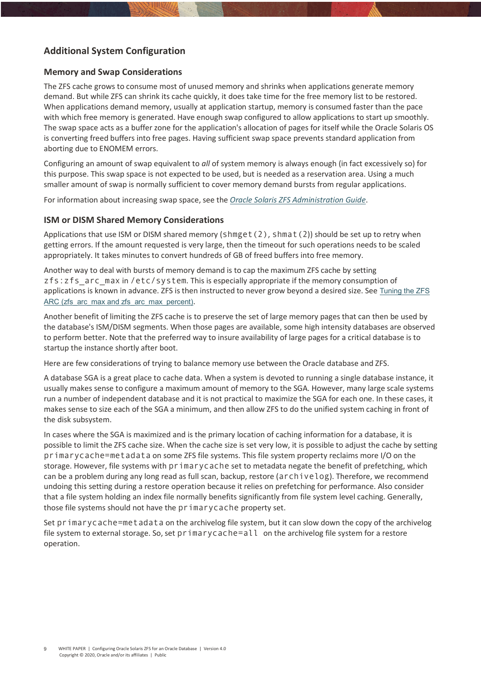# **Additional System Configuration**

#### **Memory and Swap Considerations**

The ZFS cache grows to consume most of unused memory and shrinks when applications generate memory demand. But while ZFS can shrink its cache quickly, it does take time for the free memory list to be restored. When applications demand memory, usually at application startup, memory is consumed faster than the pace with which free memory is generated. Have enough swap configured to allow applications to start up smoothly. The swap space acts as a buffer zone for the application's allocation of pages for itself while the Oracle Solaris OS is converting freed buffers into free pages. Having sufficient swap space prevents standard application from aborting due to ENOMEM errors.

Configuring an amount of swap equivalent to *all* of system memory is always enough (in fact excessively so) for this purpose. This swap space is not expected to be used, but is needed as a reservation area. Using a much smaller amount of swap is normally sufficient to cover memory demand bursts from regular applications.

For information about increasing swap space, see the *Oracle Solaris ZFS Administration Guide*.

#### **ISM or DISM Shared Memory Considerations**

Applications that use ISM or DISM shared memory (shmget(2), shmat(2)) should be set up to retry when getting errors. If the amount requested is very large, then the timeout for such operations needs to be scaled appropriately. It takes minutes to convert hundreds of GB of freed buffers into free memory.

Another way to deal with bursts of memory demand is to cap the maximum ZFS cache by setting zfs:zfs\_arc\_max in /etc/system. This is especially appropriate if the memory consumption of applications is known in advance. ZFS is then instructed to never grow beyond a desired size. See Tuning the ZFS ARC (zfs\_arc\_max and zfs\_arc\_max\_percent).

Another benefit of limiting the ZFS cache is to preserve the set of large memory pages that can then be used by the database's ISM/DISM segments. When those pages are available, some high intensity databases are observed to perform better. Note that the preferred way to insure availability of large pages for a critical database is to startup the instance shortly after boot.

Here are few considerations of trying to balance memory use between the Oracle database and ZFS.

A database SGA is a great place to cache data. When a system is devoted to running a single database instance, it usually makes sense to configure a maximum amount of memory to the SGA. However, many large scale systems run a number of independent database and it is not practical to maximize the SGA for each one. In these cases, it makes sense to size each of the SGA a minimum, and then allow ZFS to do the unified system caching in front of the disk subsystem.

In cases where the SGA is maximized and is the primary location of caching information for a database, it is possible to limit the ZFS cache size. When the cache size is set very low, it is possible to adjust the cache by setting primarycache=metadata on some ZFS file systems. This file system property reclaims more I/O on the storage. However, file systems with primarycache set to metadata negate the benefit of prefetching, which can be a problem during any long read as full scan, backup, restore (archivelog). Therefore, we recommend undoing this setting during a restore operation because it relies on prefetching for performance. Also consider that a file system holding an index file normally benefits significantly from file system level caching. Generally, those file systems should not have the primarycache property set.

Set primarycache=metadata on the archivelog file system, but it can slow down the copy of the archivelog file system to external storage. So, set primarycache=all on the archivelog file system for a restore operation.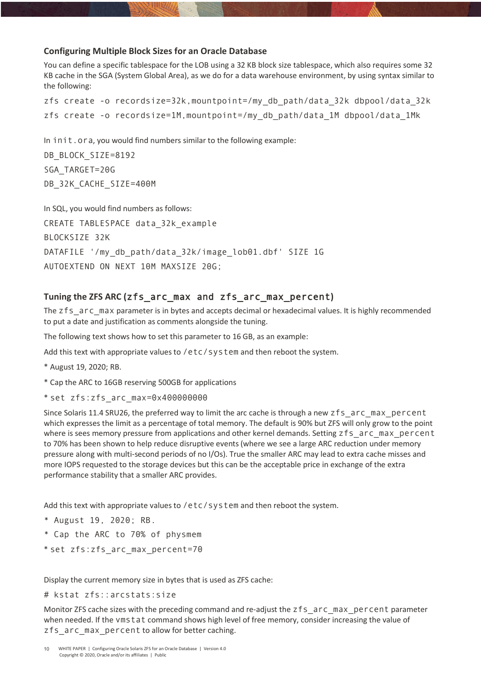#### **Configuring Multiple Block Sizes for an Oracle Database**

You can define a specific tablespace for the LOB using a 32 KB block size tablespace, which also requires some 32 KB cache in the SGA (System Global Area), as we do for a data warehouse environment, by using syntax similar to the following:

```
zfs create -o recordsize=32k,mountpoint=/my_db_path/data_32k dbpool/data_32k
zfs create -o recordsize=1M,mountpoint=/my_db_path/data_1M dbpool/data_1Mk
```
In init.ora, you would find numbers similar to the following example:

```
DB_BLOCK_SIZE=8192
SGA_TARGET=20G 
DB_32K_CACHE_SIZE=400M
```
In SQL, you would find numbers as follows: CREATE TABLESPACE data\_32k\_example BLOCKSIZE 32K DATAFILE '/my db path/data 32k/image lob01.dbf' SIZE 1G AUTOEXTEND ON NEXT 10M MAXSIZE 20G;

# **Tuning the ZFS ARC (**zfs\_arc\_max and zfs\_arc\_max\_percent**)**

The zfs\_arc\_max parameter is in bytes and accepts decimal or hexadecimal values. It is highly recommended to put a date and justification as comments alongside the tuning.

The following text shows how to set this parameter to 16 GB, as an example:

Add this text with appropriate values to /etc/system and then reboot the system.

- \* August 19, 2020; RB.
- \* Cap the ARC to 16GB reserving 500GB for applications
- \* set zfs:zfs\_arc\_max=0x400000000

Since Solaris 11.4 SRU26, the preferred way to limit the arc cache is through a new zfs\_arc\_max\_percent which expresses the limit as a percentage of total memory. The default is 90% but ZFS will only grow to the point where is sees memory pressure from applications and other kernel demands. Setting zfs\_arc\_max\_percent to 70% has been shown to help reduce disruptive events (where we see a large ARC reduction under memory pressure along with multi-second periods of no I/Os). True the smaller ARC may lead to extra cache misses and more IOPS requested to the storage devices but this can be the acceptable price in exchange of the extra performance stability that a smaller ARC provides.

Add this text with appropriate values to /etc/system and then reboot the system.

- \* August 19, 2020; RB.
- \* Cap the ARC to 70% of physmem
- \* set zfs:zfs\_arc\_max\_percent=70

Display the current memory size in bytes that is used as ZFS cache:

```
# kstat zfs::arcstats:size
```
Monitor ZFS cache sizes with the preceding command and re-adjust the zfs\_arc\_max\_percent parameter when needed. If the vmstat command shows high level of free memory, consider increasing the value of zfs arc max percent to allow for better caching.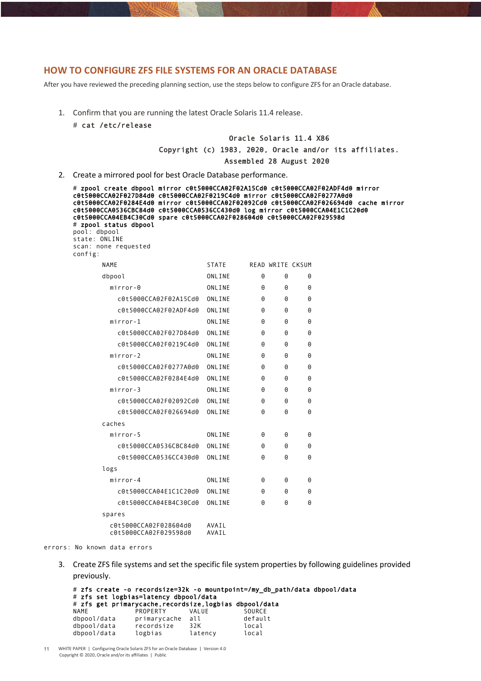#### **HOW TO CONFIGURE ZFS FILE SYSTEMS FOR AN ORACLE DATABASE**

After you have reviewed the preceding planning section, use the steps below to configure ZFS for an Oracle database.

- 1. Confirm that you are running the latest Oracle Solaris 11.4 release.
	- # cat /etc/release

#### Oracle Solaris 11.4 X86

Copyright (c) 1983, 2020, Oracle and/or its affiliates.

Assembled 28 August 2020

2. Create a mirrored pool for best Oracle Database performance.

# zpool create dbpool mirror c0t5000CCA02F02A15Cd0 c0t5000CCA02F02ADF4d0 mirror c0t5000CCA02F027D84d0 c0t5000CCA02F0219C4d0 mirror c0t5000CCA02F0277A0d0 c0t5000CCA02F0284E4d0 mirror c0t5000CCA02F02092Cd0 c0t5000CCA02F026694d0 cache mirror c0t5000CCA0536CBC84d0 c0t5000CCA0536CC430d0 log mirror c0t5000CCA04E1C1C20d0 c0t5000CCA04EB4C30Cd0 spare c0t5000CCA02F028604d0 c0t5000CCA02F029598d # zpool status dbpool pool: dbpool state: ONLINE scan: none requested config: NAME STATE READ WRITE CKSUM dbpool 0NLINE 0 0 0 mirror-0 0NLINE 0 0 0 c0t5000CCA02F02A15Cd0 ONLINE 0 0 0 c0t5000CCA02F02ADF4d0 ONLINE 0 0 0 mirror-1 ONLINE 0 0 0 c0t5000CCA02F027D84d0 ONLINE 0 0 0 c0t5000CCA02F0219C4d0 ONLINE 0 0 0 mirror-2 ONLINE Q Q Q c0t5000CCA02F0277A0d0 ONLINE 0 0 0 c0t5000CCA02F0284E4d0 ONLINE 0 0 0 mirror-3 ONLINE  $\theta$   $\theta$   $\theta$  c0t5000CCA02F02092Cd0 ONLINE 0 0 0 c0t5000CCA02F026694d0 ONLINE 0 0 0 caches mirror-5 ONLINE 0 0 0 c0t5000CCA0536CBC84d0 ONLINE 0 0 0 c0t5000CCA0536CC430d0 ONLINE 0 0 0 logs  $mirror-A$  ONLINE  $\theta$   $\theta$   $\theta$  c0t5000CCA04E1C1C20d0 ONLINE 0 0 0 c0t5000CCA04EB4C30Cd0 ONLINE 0 0 0 spares c0t5000CCA02F028604d0 AVAIL c0t5000CCA02F029598d0 AVAIL

errors: No known data errors

3. Create ZFS file systems and set the specific file system properties by following guidelines provided previously.

```
# zfs create -o recordsize=32k -o mountpoint=/my_db_path/data dbpool/data
# zfs set logbias=latency dbpool/data
# zfs get primarycache,recordsize,logbias dbpool/data
NAME PROPERTY VALUE SOURCE
dbpool/data primarycache all default
dbpool/data recordsize 32K local 
dbpool/data logbias latency local
```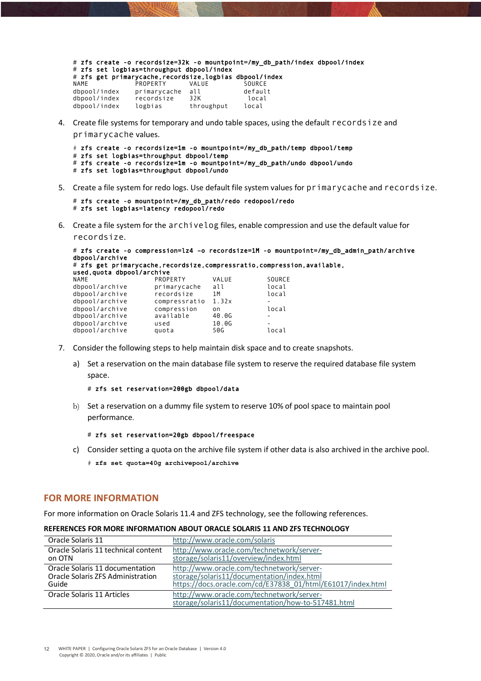# zfs create -o recordsize=32k -o mountpoint=/my\_db\_path/index dbpool/index # zfs set logbias=throughput dbpool/index # zfs get primarycache,recordsize,logbias dbpool/index NAME PROPERTY VALUE SOURCE<br>dbpool/index primarycache all default primarycache all dbpool/index recordsize 32K local<br>dbpool/index logbias throughput local

4. Create file systems for temporary and undo table spaces, using the default recordsize and

primarycache values.

# zfs create -o recordsize=1m -o mountpoint=/my\_db\_path/temp dbpool/temp # zfs set logbias=throughput dbpool/temp # zfs create -o recordsize=1m -o mountpoint=/my\_db\_path/undo dbpool/undo # zfs set logbias=throughput dbpool/undo

5. Create a file system for redo logs. Use default file system values for primarycache and recordsize.

```
# zfs create -o mountpoint=/my_db_path/redo redopool/redo
# zfs set logbias=latency redopool/redo
```
dbpool/index logbias throughput local

6. Create a file system for the archivelog files, enable compression and use the default value for recordsize.

```
# zfs create -o compression=lz4 –o recordsize=1M -o mountpoint=/my_db_admin_path/archive 
dbpool/archive
```

```
# zfs get primarycache,recordsize,compressratio,compression,available, 
used,quota dbpool/archive
```

| NAME           | PROPERTY      | VALUE | SOURCE |
|----------------|---------------|-------|--------|
| dbpool/archive | primarycache  | all   | local  |
| dbpool/archive | recordsize    | 1 M   | local  |
| dbpool/archive | compressratio | 1.32x |        |
| dbpool/archive | compression   | on    | local  |
| dbpool/archive | available     | 40.0G |        |
| dbpool/archive | used          | 10.06 |        |
| dbpool/archive | quota         | 50G   | local  |
|                |               |       |        |

- 7. Consider the following steps to help maintain disk space and to create snapshots.
	- a) Set a reservation on the main database file system to reserve the required database file system space.

```
# zfs set reservation=200gb dbpool/data
```
b) Set a reservation on a dummy file system to reserve 10% of pool space to maintain pool performance.

```
# zfs set reservation=20gb dbpool/freespace
```
- c) Consider setting a quota on the archive file system if other data is also archived in the archive pool.
	- # **zfs set quota=40g archivepool/archive**

#### **FOR MORE INFORMATION**

For more information on Oracle Solaris 11.4 and ZFS technology, see the following references.

| Oracle Solaris 11                   | http://www.oracle.com/solaris                                                                   |
|-------------------------------------|-------------------------------------------------------------------------------------------------|
| Oracle Solaris 11 technical content | http://www.oracle.com/technetwork/server-                                                       |
| on OTN                              | storage/solaris11/overview/index.html                                                           |
| Oracle Solaris 11 documentation     | http://www.oracle.com/technetwork/server-                                                       |
| Oracle Solaris ZFS Administration   | storage/solaris11/documentation/index.html                                                      |
| Guide                               | https://docs.oracle.com/cd/E37838_01/html/E61017/index.html                                     |
| Oracle Solaris 11 Articles          | http://www.oracle.com/technetwork/server-<br>storage/solaris11/documentation/how-to-517481.html |